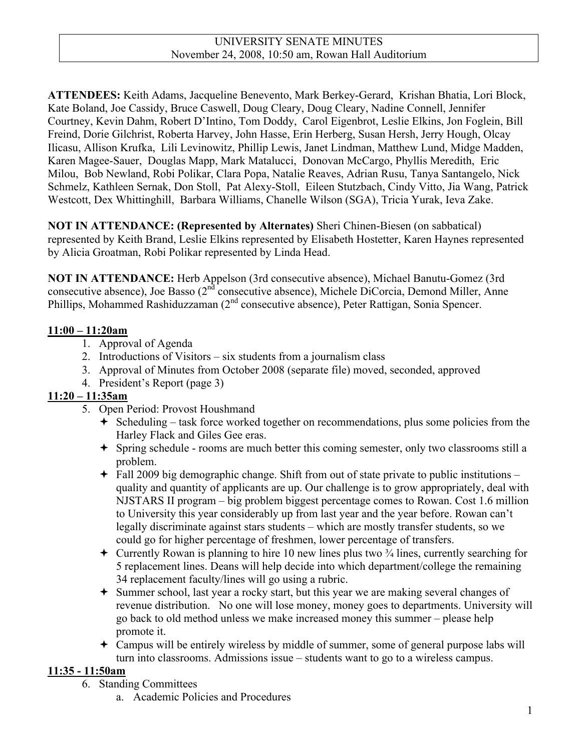**ATTENDEES:** Keith Adams, Jacqueline Benevento, Mark Berkey-Gerard, Krishan Bhatia, Lori Block, Kate Boland, Joe Cassidy, Bruce Caswell, Doug Cleary, Doug Cleary, Nadine Connell, Jennifer Courtney, Kevin Dahm, Robert D'Intino, Tom Doddy, Carol Eigenbrot, Leslie Elkins, Jon Foglein, Bill Freind, Dorie Gilchrist, Roberta Harvey, John Hasse, Erin Herberg, Susan Hersh, Jerry Hough, Olcay Ilicasu, Allison Krufka, Lili Levinowitz, Phillip Lewis, Janet Lindman, Matthew Lund, Midge Madden, Karen Magee-Sauer, Douglas Mapp, Mark Matalucci, Donovan McCargo, Phyllis Meredith, Eric Milou, Bob Newland, Robi Polikar, Clara Popa, Natalie Reaves, Adrian Rusu, Tanya Santangelo, Nick Schmelz, Kathleen Sernak, Don Stoll, Pat Alexy-Stoll, Eileen Stutzbach, Cindy Vitto, Jia Wang, Patrick Westcott, Dex Whittinghill, Barbara Williams, Chanelle Wilson (SGA), Tricia Yurak, Ieva Zake.

**NOT IN ATTENDANCE: (Represented by Alternates)** Sheri Chinen-Biesen (on sabbatical) represented by Keith Brand, Leslie Elkins represented by Elisabeth Hostetter, Karen Haynes represented by Alicia Groatman, Robi Polikar represented by Linda Head.

**NOT IN ATTENDANCE:** Herb Appelson (3rd consecutive absence), Michael Banutu-Gomez (3rd consecutive absence), Joe Basso (2<sup>nd</sup> consecutive absence), Michele DiCorcia, Demond Miller, Anne Phillips, Mohammed Rashiduzzaman (2<sup>nd</sup> consecutive absence), Peter Rattigan, Sonia Spencer.

# **11:00 – 11:20am**

- 1. Approval of Agenda
- 2. Introductions of Visitors six students from a journalism class
- 3. Approval of Minutes from October 2008 (separate file) moved, seconded, approved
- 4. President's Report (page 3)

# **11:20 – 11:35am**

- 5. Open Period: Provost Houshmand
	- $\div$  Scheduling task force worked together on recommendations, plus some policies from the Harley Flack and Giles Gee eras.
	- Spring schedule rooms are much better this coming semester, only two classrooms still a problem.
	- $\div$  Fall 2009 big demographic change. Shift from out of state private to public institutions quality and quantity of applicants are up. Our challenge is to grow appropriately, deal with NJSTARS II program – big problem biggest percentage comes to Rowan. Cost 1.6 million to University this year considerably up from last year and the year before. Rowan can't legally discriminate against stars students – which are mostly transfer students, so we could go for higher percentage of freshmen, lower percentage of transfers.
	- $\div$  Currently Rowan is planning to hire 10 new lines plus two  $\frac{3}{4}$  lines, currently searching for 5 replacement lines. Deans will help decide into which department/college the remaining 34 replacement faculty/lines will go using a rubric.
	- Summer school, last year a rocky start, but this year we are making several changes of revenue distribution. No one will lose money, money goes to departments. University will go back to old method unless we make increased money this summer – please help promote it.
	- Campus will be entirely wireless by middle of summer, some of general purpose labs will turn into classrooms. Admissions issue – students want to go to a wireless campus.

# **11:35 - 11:50am**

- 6. Standing Committees
	- a. Academic Policies and Procedures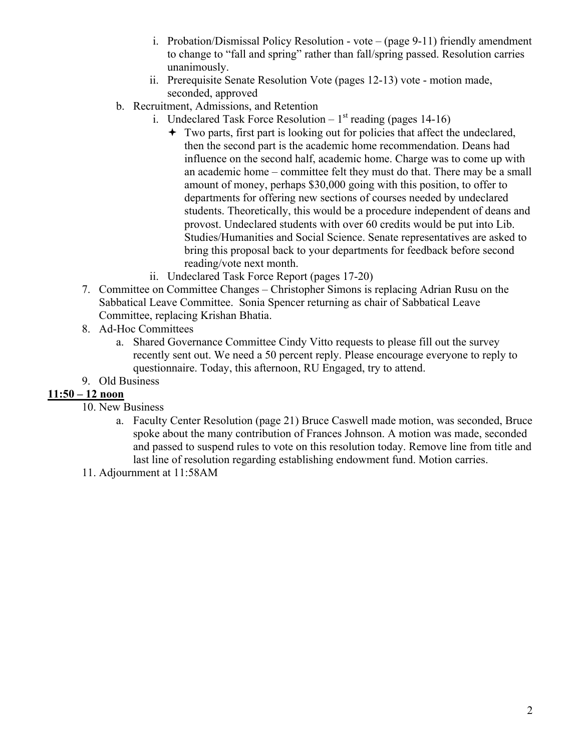- i. Probation/Dismissal Policy Resolution vote (page 9-11) friendly amendment to change to "fall and spring" rather than fall/spring passed. Resolution carries unanimously.
- ii. Prerequisite Senate Resolution Vote (pages 12-13) vote motion made, seconded, approved
- b. Recruitment, Admissions, and Retention
	- i. Undeclared Task Force Resolution  $1<sup>st</sup>$  reading (pages 14-16)
		- Two parts, first part is looking out for policies that affect the undeclared, then the second part is the academic home recommendation. Deans had influence on the second half, academic home. Charge was to come up with an academic home – committee felt they must do that. There may be a small amount of money, perhaps \$30,000 going with this position, to offer to departments for offering new sections of courses needed by undeclared students. Theoretically, this would be a procedure independent of deans and provost. Undeclared students with over 60 credits would be put into Lib. Studies/Humanities and Social Science. Senate representatives are asked to bring this proposal back to your departments for feedback before second reading/vote next month.
	- ii. Undeclared Task Force Report (pages 17-20)
- 7. Committee on Committee Changes Christopher Simons is replacing Adrian Rusu on the Sabbatical Leave Committee. Sonia Spencer returning as chair of Sabbatical Leave Committee, replacing Krishan Bhatia.
- 8. Ad-Hoc Committees
	- a. Shared Governance Committee Cindy Vitto requests to please fill out the survey recently sent out. We need a 50 percent reply. Please encourage everyone to reply to questionnaire. Today, this afternoon, RU Engaged, try to attend.
- 9. Old Business

# **11:50 – 12 noon**

- 10. New Business
	- a. Faculty Center Resolution (page 21) Bruce Caswell made motion, was seconded, Bruce spoke about the many contribution of Frances Johnson. A motion was made, seconded and passed to suspend rules to vote on this resolution today. Remove line from title and last line of resolution regarding establishing endowment fund. Motion carries.
- 11. Adjournment at 11:58AM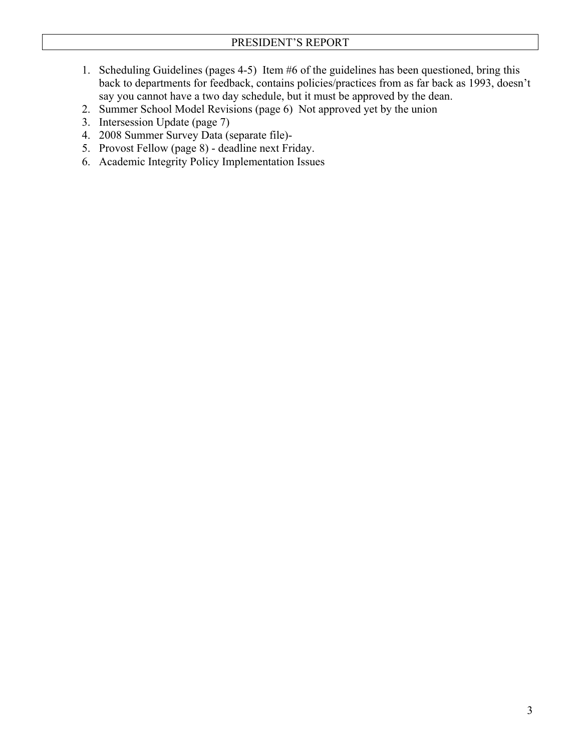- 1. Scheduling Guidelines (pages 4-5) Item #6 of the guidelines has been questioned, bring this back to departments for feedback, contains policies/practices from as far back as 1993, doesn't say you cannot have a two day schedule, but it must be approved by the dean.
- 2. Summer School Model Revisions (page 6) Not approved yet by the union
- 3. Intersession Update (page 7)
- 4. 2008 Summer Survey Data (separate file)-
- 5. Provost Fellow (page 8) deadline next Friday.
- 6. Academic Integrity Policy Implementation Issues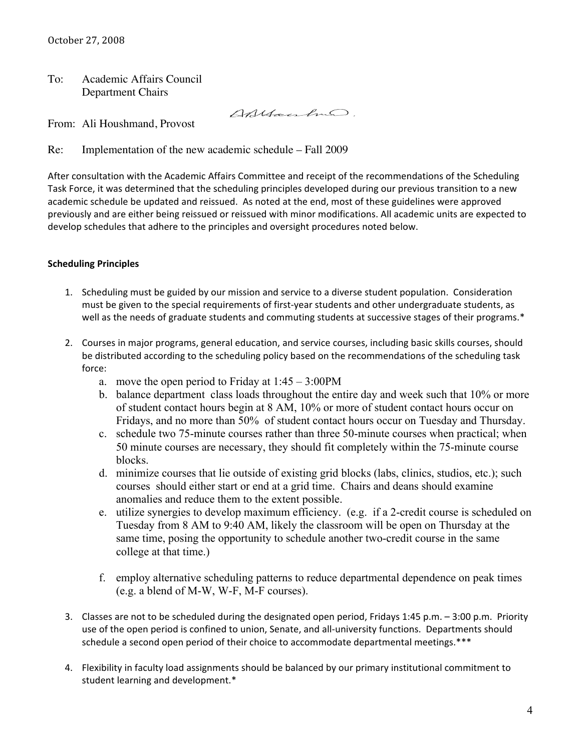To: Academic Affairs Council Department Chairs

Anyanhão.

From: Ali Houshmand, Provost

Re: Implementation of the new academic schedule – Fall 2009

After
consultation
with
the
Academic
Affairs
Committee
and
receipt
of
the
recommendations
of
the
Scheduling Task Force, it was determined that the scheduling principles developed during our previous transition to a new academic
schedule
be
updated
and
reissued.

As
noted
at
the
end,
most
of
these
guidelines
were
approved previously and are either being reissued or reissued with minor modifications. All academic units are expected to develop
schedules
that
adhere
to
the
principles
and
oversight
procedures
noted
below.

### **Scheduling
Principles**

- 1. Scheduling must be guided by our mission and service to a diverse student population. Consideration must be given to the special requirements of first-year students and other undergraduate students, as well as the needs of graduate students and commuting students at successive stages of their programs.\*
- 2. Courses
in
major
programs,
general
education,
and
service
courses,
including
basic
skills
courses,
should be distributed according to the scheduling policy based on the recommendations of the scheduling task force:
	- a. move the open period to Friday at  $1:45 3:00 \text{PM}$
	- b. balance department class loads throughout the entire day and week such that 10% or more of student contact hours begin at 8 AM, 10% or more of student contact hours occur on Fridays, and no more than 50% of student contact hours occur on Tuesday and Thursday.
	- c. schedule two 75-minute courses rather than three 50-minute courses when practical; when 50 minute courses are necessary, they should fit completely within the 75-minute course blocks.
	- d. minimize courses that lie outside of existing grid blocks (labs, clinics, studios, etc.); such courses should either start or end at a grid time. Chairs and deans should examine anomalies and reduce them to the extent possible.
	- e. utilize synergies to develop maximum efficiency. (e.g. if a 2-credit course is scheduled on Tuesday from 8 AM to 9:40 AM, likely the classroom will be open on Thursday at the same time, posing the opportunity to schedule another two-credit course in the same college at that time.)
	- f. employ alternative scheduling patterns to reduce departmental dependence on peak times (e.g. a blend of M-W, W-F, M-F courses).
- 3. Classes
are
not
to
be
scheduled
during
the
designated
open
period,
Fridays
1:45
p.m.
–
3:00
p.m.

Priority use of the open period is confined to union, Senate, and all-university functions. Departments should schedule a second open period of their choice to accommodate departmental meetings.\*\*\*
- 4. Flexibility in faculty load assignments should be balanced by our primary institutional commitment to student
learning
and
development.\*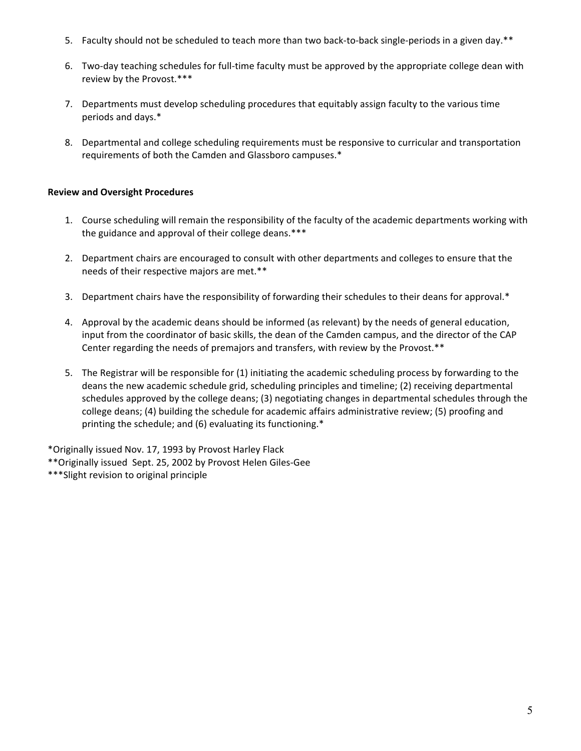- 5. Faculty should not be scheduled to teach more than two back-to-back single-periods in a given day.\*\*
- 6. Two-day teaching schedules for full-time faculty must be approved by the appropriate college dean with review
by
the
Provost.\*\*\*
- 7. Departments must develop scheduling procedures that equitably assign faculty to the various time periods
and
days.\*
- 8. Departmental
and
college
scheduling
requirements
must
be
responsive
to
curricular
and
transportation requirements
of
both
the
Camden
and
Glassboro
campuses.\*

### **Review
and
Oversight
Procedures**

- 1. Course scheduling will remain the responsibility of the faculty of the academic departments working with the guidance and approval of their college deans.\*\*\*
- 2. Department chairs are encouraged to consult with other departments and colleges to ensure that the needs
of
their
respective
majors
are
met.\*\*
- 3. Department chairs have the responsibility of forwarding their schedules to their deans for approval.\*
- 4. Approval by the academic deans should be informed (as relevant) by the needs of general education, input from the coordinator of basic skills, the dean of the Camden campus, and the director of the CAP Center regarding the needs of premajors and transfers, with review by the Provost.\*\*
- 5. The Registrar will be responsible for (1) initiating the academic scheduling process by forwarding to the deans
the
new
academic
schedule
grid,
scheduling
principles
and
timeline;
(2)
receiving
departmental schedules approved by the college deans; (3) negotiating changes in departmental schedules through the college deans; (4) building the schedule for academic affairs administrative review; (5) proofing and printing the schedule; and (6) evaluating its functioning.\*

\*Originally
issued
Nov.
17,
1993
by
Provost
Harley
Flack \*\*Originally
issued

Sept.
25,
2002
by
Provost
Helen
Giles‐Gee \*\*\*Slight
revision
to
original
principle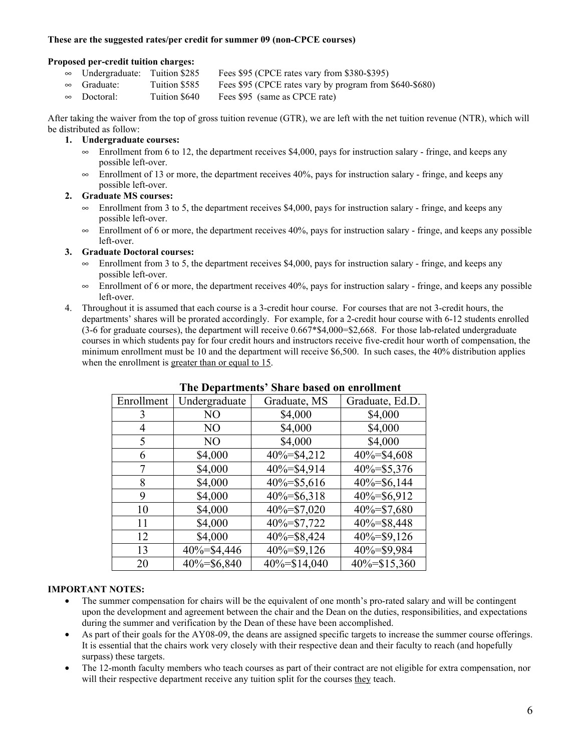#### **These are the suggested rates/per credit for summer 09 (non-CPCE courses)**

#### **Proposed per-credit tuition charges:**

- $\infty$  Undergraduate: Tuition \$285 Fees \$95 (CPCE rates vary from \$380-\$395)
- $\approx$  Graduate: Tuition \$585 Fees \$95 (CPCE rates vary by program from \$640-\$680)<br> $\approx$  Doctoral: Tuition \$640 Fees \$95 (same as CPCE rate)
- $\infty$  Doctoral: Tuition \$640 Fees \$95 (same as CPCE rate)

After taking the waiver from the top of gross tuition revenue (GTR), we are left with the net tuition revenue (NTR), which will be distributed as follow:

#### **1. Undergraduate courses:**

- $\infty$  Enrollment from 6 to 12, the department receives \$4,000, pays for instruction salary fringe, and keeps any possible left-over.
- $\infty$  Enrollment of 13 or more, the department receives 40%, pays for instruction salary fringe, and keeps any possible left-over.

#### **2. Graduate MS courses:**

- Enrollment from 3 to 5, the department receives \$4,000, pays for instruction salary fringe, and keeps any possible left-over.
- $\infty$  Enrollment of 6 or more, the department receives 40%, pays for instruction salary fringe, and keeps any possible left-over.

#### **3. Graduate Doctoral courses:**

- $\infty$  Enrollment from 3 to 5, the department receives \$4,000, pays for instruction salary fringe, and keeps any possible left-over.
- $\infty$  Enrollment of 6 or more, the department receives 40%, pays for instruction salary fringe, and keeps any possible left-over.
- 4. Throughout it is assumed that each course is a 3-credit hour course. For courses that are not 3-credit hours, the departments' shares will be prorated accordingly. For example, for a 2-credit hour course with 6-12 students enrolled  $(3-6)$  for graduate courses), the department will receive  $0.667*$ \$4,000=\$2,668. For those lab-related undergraduate courses in which students pay for four credit hours and instructors receive five-credit hour worth of compensation, the minimum enrollment must be 10 and the department will receive \$6,500. In such cases, the 40% distribution applies when the enrollment is greater than or equal to 15.

| Enrollment | Undergraduate | Graduate, MS    | Graduate, Ed.D. |
|------------|---------------|-----------------|-----------------|
| 3          | NO            | \$4,000         | \$4,000         |
| 4          | NO            | \$4,000         | \$4,000         |
| 5          | NO.           | \$4,000         | \$4,000         |
| 6          | \$4,000       | 40%=\$4,212     | $40\% = $4,608$ |
|            | \$4,000       | $40\% = $4,914$ | $40\% = $5,376$ |
| 8          | \$4,000       | 40%=\$5,616     | $40\% = $6,144$ |
| 9          | \$4,000       | $40\% = $6,318$ | $40\% = $6,912$ |
| 10         | \$4,000       | 40%=\$7,020     | 40%=\$7,680     |
| 11         | \$4,000       | $40\% = $7,722$ | 40%=\$8,448     |
| 12         | \$4,000       | 40%=\$8,424     | $40\% = $9,126$ |
| 13         | 40%=\$4,446   | 40%=\$9,126     | 40%=\$9,984     |
| 20         | 40%=\$6,840   | 40%=\$14,040    | 40%=\$15,360    |

#### **The Departments' Share based on enrollment**

#### **IMPORTANT NOTES:**

- The summer compensation for chairs will be the equivalent of one month's pro-rated salary and will be contingent upon the development and agreement between the chair and the Dean on the duties, responsibilities, and expectations during the summer and verification by the Dean of these have been accomplished.
- As part of their goals for the AY08-09, the deans are assigned specific targets to increase the summer course offerings. It is essential that the chairs work very closely with their respective dean and their faculty to reach (and hopefully surpass) these targets.
- The 12-month faculty members who teach courses as part of their contract are not eligible for extra compensation, nor will their respective department receive any tuition split for the courses they teach.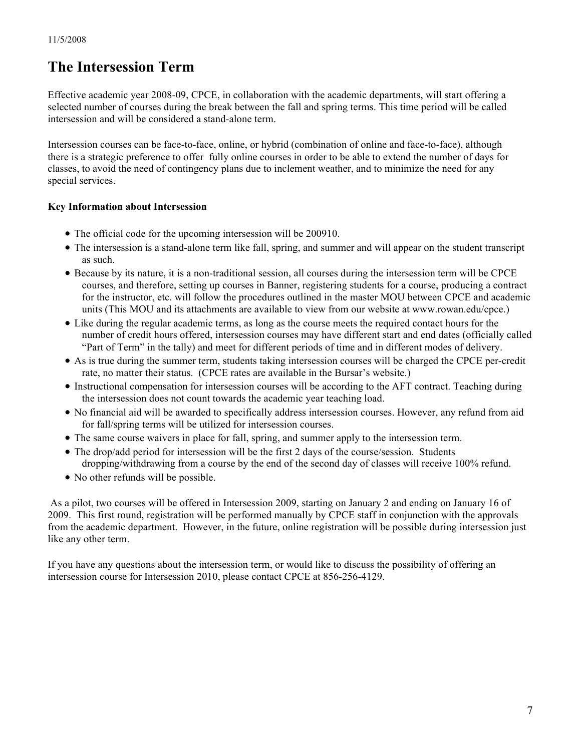# **The Intersession Term**

Effective academic year 2008-09, CPCE, in collaboration with the academic departments, will start offering a selected number of courses during the break between the fall and spring terms. This time period will be called intersession and will be considered a stand-alone term.

Intersession courses can be face-to-face, online, or hybrid (combination of online and face-to-face), although there is a strategic preference to offer fully online courses in order to be able to extend the number of days for classes, to avoid the need of contingency plans due to inclement weather, and to minimize the need for any special services.

## **Key Information about Intersession**

- The official code for the upcoming intersession will be 200910.
- The intersession is a stand-alone term like fall, spring, and summer and will appear on the student transcript as such.
- ∑ Because by its nature, it is a non-traditional session, all courses during the intersession term will be CPCE courses, and therefore, setting up courses in Banner, registering students for a course, producing a contract for the instructor, etc. will follow the procedures outlined in the master MOU between CPCE and academic units (This MOU and its attachments are available to view from our website at www.rowan.edu/cpce.)
- Like during the regular academic terms, as long as the course meets the required contact hours for the number of credit hours offered, intersession courses may have different start and end dates (officially called "Part of Term" in the tally) and meet for different periods of time and in different modes of delivery.
- ∑ As is true during the summer term, students taking intersession courses will be charged the CPCE per-credit rate, no matter their status. (CPCE rates are available in the Bursar's website.)
- ∑ Instructional compensation for intersession courses will be according to the AFT contract. Teaching during the intersession does not count towards the academic year teaching load.
- ∑ No financial aid will be awarded to specifically address intersession courses. However, any refund from aid for fall/spring terms will be utilized for intersession courses.
- The same course waivers in place for fall, spring, and summer apply to the intersession term.
- The drop/add period for intersession will be the first 2 days of the course/session. Students dropping/withdrawing from a course by the end of the second day of classes will receive 100% refund.
- No other refunds will be possible.

 As a pilot, two courses will be offered in Intersession 2009, starting on January 2 and ending on January 16 of 2009. This first round, registration will be performed manually by CPCE staff in conjunction with the approvals from the academic department. However, in the future, online registration will be possible during intersession just like any other term.

If you have any questions about the intersession term, or would like to discuss the possibility of offering an intersession course for Intersession 2010, please contact CPCE at 856-256-4129.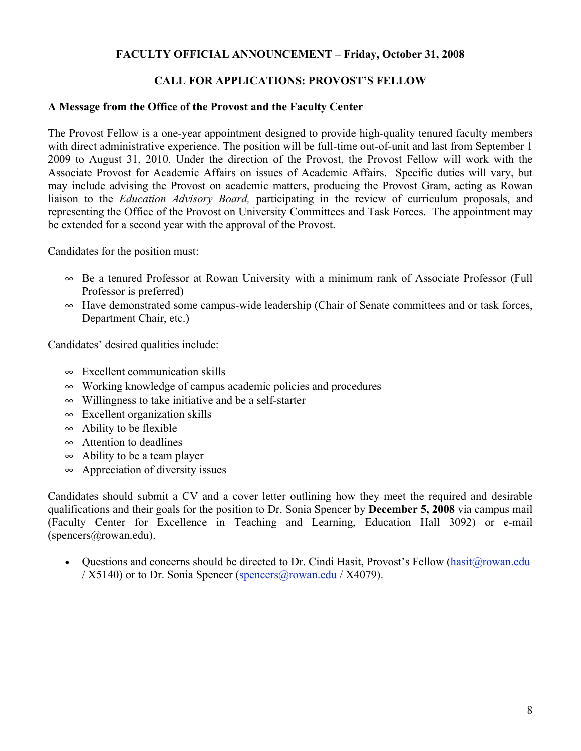### **FACULTY OFFICIAL ANNOUNCEMENT – Friday, October 31, 2008**

## **CALL FOR APPLICATIONS: PROVOST'S FELLOW**

### **A Message from the Office of the Provost and the Faculty Center**

The Provost Fellow is a one-year appointment designed to provide high-quality tenured faculty members with direct administrative experience. The position will be full-time out-of-unit and last from September 1 2009 to August 31, 2010. Under the direction of the Provost, the Provost Fellow will work with the Associate Provost for Academic Affairs on issues of Academic Affairs. Specific duties will vary, but may include advising the Provost on academic matters, producing the Provost Gram, acting as Rowan liaison to the *Education Advisory Board,* participating in the review of curriculum proposals, and representing the Office of the Provost on University Committees and Task Forces. The appointment may be extended for a second year with the approval of the Provost.

Candidates for the position must:

- $\infty$  Be a tenured Professor at Rowan University with a minimum rank of Associate Professor (Full Professor is preferred)
- $\sim$  Have demonstrated some campus-wide leadership (Chair of Senate committees and or task forces, Department Chair, etc.)

Candidates' desired qualities include:

- $\infty$  Excellent communication skills
- $\infty$  Working knowledge of campus academic policies and procedures
- $\infty$  Willingness to take initiative and be a self-starter
- $\infty$  Excellent organization skills
- $\infty$  Ability to be flexible
- $\infty$  Attention to deadlines
- $\infty$  Ability to be a team player
- $\infty$  Appreciation of diversity issues

Candidates should submit a CV and a cover letter outlining how they meet the required and desirable qualifications and their goals for the position to Dr. Sonia Spencer by **December 5, 2008** via campus mail (Faculty Center for Excellence in Teaching and Learning, Education Hall 3092) or e-mail (spencers@rowan.edu).

• Questions and concerns should be directed to Dr. Cindi Hasit, Provost's Fellow (hasit@rowan.edu /  $X5140$ ) or to Dr. Sonia Spencer (spencers@rowan.edu /  $X4079$ ).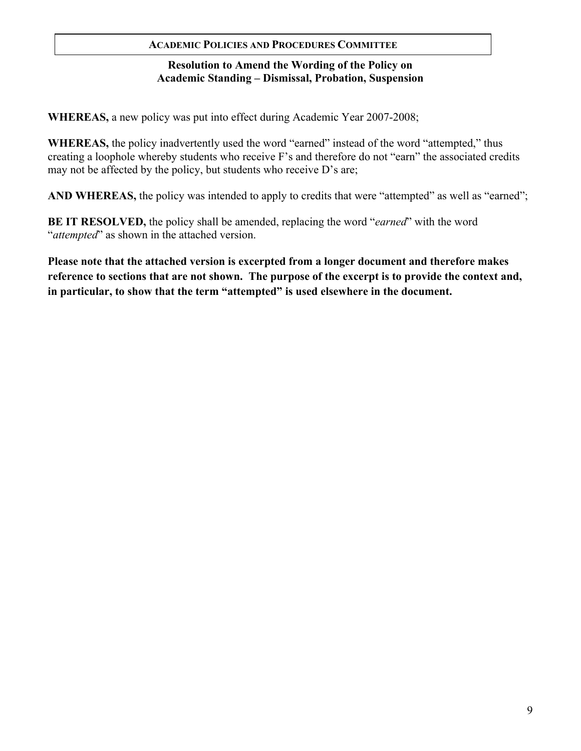### **ACADEMIC POLICIES AND PROCEDURES COMMITTEE**

## **Resolution to Amend the Wording of the Policy on Academic Standing – Dismissal, Probation, Suspension**

**WHEREAS,** a new policy was put into effect during Academic Year 2007-2008;

**WHEREAS,** the policy inadvertently used the word "earned" instead of the word "attempted," thus creating a loophole whereby students who receive F's and therefore do not "earn" the associated credits may not be affected by the policy, but students who receive D's are;

**AND WHEREAS,** the policy was intended to apply to credits that were "attempted" as well as "earned";

**BE IT RESOLVED,** the policy shall be amended, replacing the word "*earned*" with the word "*attempted*" as shown in the attached version.

**Please note that the attached version is excerpted from a longer document and therefore makes reference to sections that are not shown. The purpose of the excerpt is to provide the context and, in particular, to show that the term "attempted" is used elsewhere in the document.**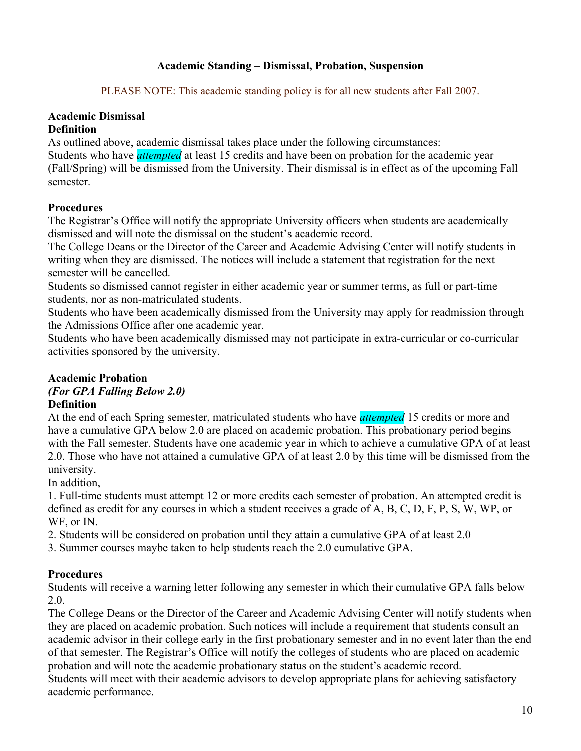# **Academic Standing – Dismissal, Probation, Suspension**

PLEASE NOTE: This academic standing policy is for all new students after Fall 2007.

# **Academic Dismissal**

# **Definition**

As outlined above, academic dismissal takes place under the following circumstances:

Students who have *attempted* at least 15 credits and have been on probation for the academic year (Fall/Spring) will be dismissed from the University. Their dismissal is in effect as of the upcoming Fall semester.

# **Procedures**

The Registrar's Office will notify the appropriate University officers when students are academically dismissed and will note the dismissal on the student's academic record.

The College Deans or the Director of the Career and Academic Advising Center will notify students in writing when they are dismissed. The notices will include a statement that registration for the next semester will be cancelled.

Students so dismissed cannot register in either academic year or summer terms, as full or part-time students, nor as non-matriculated students.

Students who have been academically dismissed from the University may apply for readmission through the Admissions Office after one academic year.

Students who have been academically dismissed may not participate in extra-curricular or co-curricular activities sponsored by the university.

# **Academic Probation**

#### *(For GPA Falling Below 2.0)*  **Definition**

At the end of each Spring semester, matriculated students who have *attempted* 15 credits or more and have a cumulative GPA below 2.0 are placed on academic probation. This probationary period begins with the Fall semester. Students have one academic year in which to achieve a cumulative GPA of at least 2.0. Those who have not attained a cumulative GPA of at least 2.0 by this time will be dismissed from the university.

In addition,

1. Full-time students must attempt 12 or more credits each semester of probation. An attempted credit is defined as credit for any courses in which a student receives a grade of A, B, C, D, F, P, S, W, WP, or WF, or IN.

2. Students will be considered on probation until they attain a cumulative GPA of at least 2.0

3. Summer courses maybe taken to help students reach the 2.0 cumulative GPA.

# **Procedures**

Students will receive a warning letter following any semester in which their cumulative GPA falls below 2.0.

The College Deans or the Director of the Career and Academic Advising Center will notify students when they are placed on academic probation. Such notices will include a requirement that students consult an academic advisor in their college early in the first probationary semester and in no event later than the end of that semester. The Registrar's Office will notify the colleges of students who are placed on academic probation and will note the academic probationary status on the student's academic record. Students will meet with their academic advisors to develop appropriate plans for achieving satisfactory academic performance.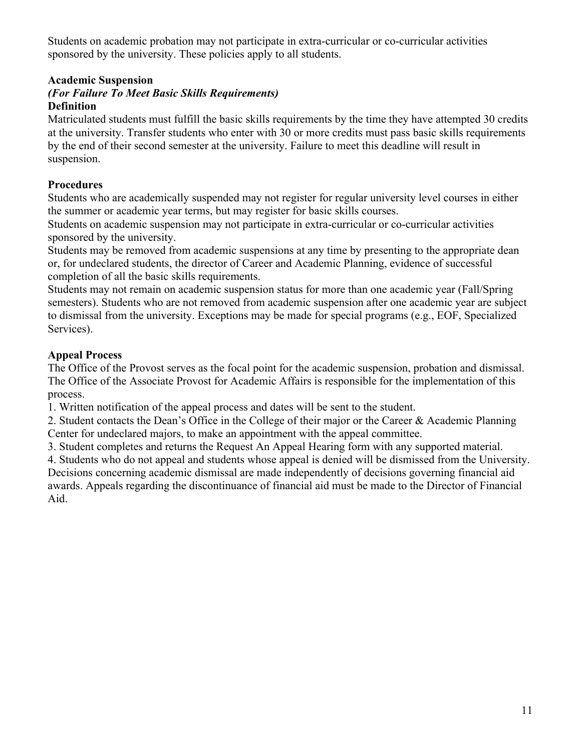Students on academic probation may not participate in extra-curricular or co-curricular activities sponsored by the university. These policies apply to all students.

# **Academic Suspension**

## *(For Failure To Meet Basic Skills Requirements)*  **Definition**

Matriculated students must fulfill the basic skills requirements by the time they have attempted 30 credits at the university. Transfer students who enter with 30 or more credits must pass basic skills requirements by the end of their second semester at the university. Failure to meet this deadline will result in suspension.

# **Procedures**

Students who are academically suspended may not register for regular university level courses in either the summer or academic year terms, but may register for basic skills courses.

Students on academic suspension may not participate in extra-curricular or co-curricular activities sponsored by the university.

Students may be removed from academic suspensions at any time by presenting to the appropriate dean or, for undeclared students, the director of Career and Academic Planning, evidence of successful completion of all the basic skills requirements.

Students may not remain on academic suspension status for more than one academic year (Fall/Spring semesters). Students who are not removed from academic suspension after one academic year are subject to dismissal from the university. Exceptions may be made for special programs (e.g., EOF, Specialized Services).

# **Appeal Process**

The Office of the Provost serves as the focal point for the academic suspension, probation and dismissal. The Office of the Associate Provost for Academic Affairs is responsible for the implementation of this process.

1. Written notification of the appeal process and dates will be sent to the student.

2. Student contacts the Dean's Office in the College of their major or the Career & Academic Planning Center for undeclared majors, to make an appointment with the appeal committee.

3. Student completes and returns the Request An Appeal Hearing form with any supported material.

4. Students who do not appeal and students whose appeal is denied will be dismissed from the University. Decisions concerning academic dismissal are made independently of decisions governing financial aid awards. Appeals regarding the discontinuance of financial aid must be made to the Director of Financial Aid.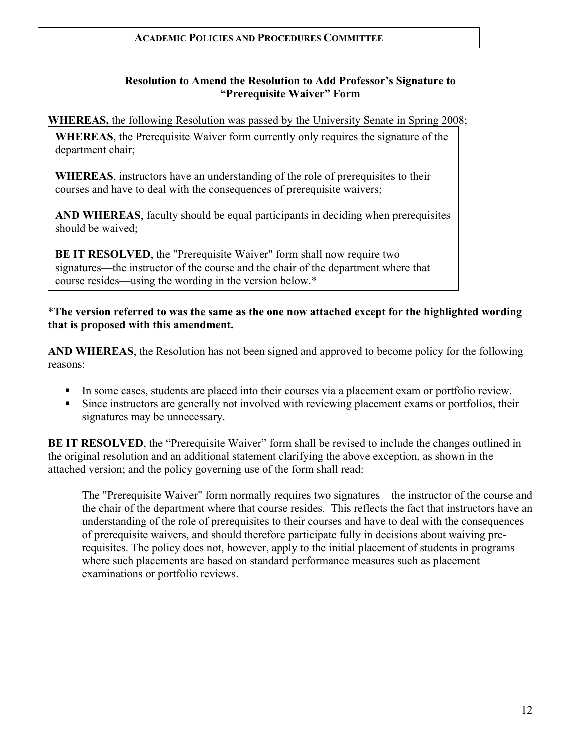## **Resolution to Amend the Resolution to Add Professor's Signature to "Prerequisite Waiver" Form**

**WHEREAS,** the following Resolution was passed by the University Senate in Spring 2008;

**WHEREAS**, the Prerequisite Waiver form currently only requires the signature of the department chair;

**WHEREAS**, instructors have an understanding of the role of prerequisites to their courses and have to deal with the consequences of prerequisite waivers;

**AND WHEREAS**, faculty should be equal participants in deciding when prerequisites should be waived;

**BE IT RESOLVED**, the "Prerequisite Waiver" form shall now require two signatures—the instructor of the course and the chair of the department where that course resides—using the wording in the version below.\*

\***The version referred to was the same as the one now attached except for the highlighted wording that is proposed with this amendment.**

**AND WHEREAS**, the Resolution has not been signed and approved to become policy for the following reasons:

- In some cases, students are placed into their courses via a placement exam or portfolio review.
- Since instructors are generally not involved with reviewing placement exams or portfolios, their signatures may be unnecessary.

**BE IT RESOLVED**, the "Prerequisite Waiver" form shall be revised to include the changes outlined in the original resolution and an additional statement clarifying the above exception, as shown in the attached version; and the policy governing use of the form shall read:

The "Prerequisite Waiver" form normally requires two signatures—the instructor of the course and the chair of the department where that course resides. This reflects the fact that instructors have an understanding of the role of prerequisites to their courses and have to deal with the consequences of prerequisite waivers, and should therefore participate fully in decisions about waiving prerequisites. The policy does not, however, apply to the initial placement of students in programs where such placements are based on standard performance measures such as placement examinations or portfolio reviews.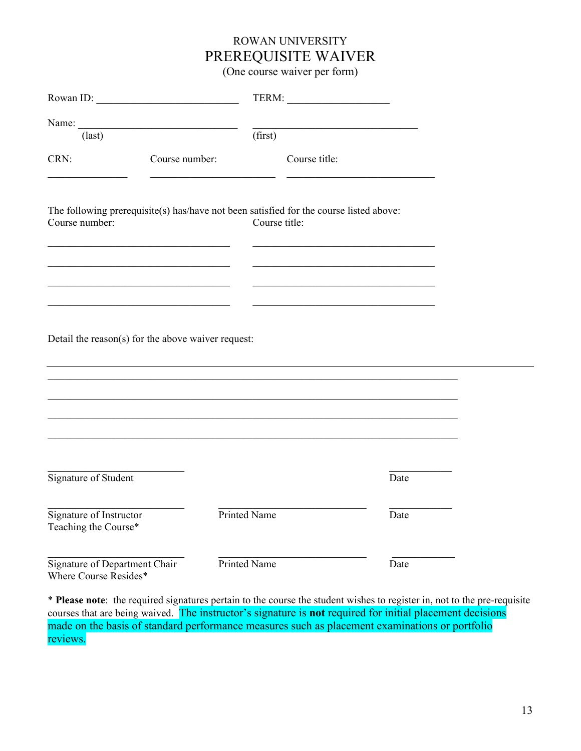# ROWAN UNIVERSITY PREREQUISITE WAIVER

(One course waiver per form)

| Rowan ID:                                              |                |                                                                                                         |  |
|--------------------------------------------------------|----------------|---------------------------------------------------------------------------------------------------------|--|
| $\text{(last)}$                                        |                | (first)                                                                                                 |  |
| CRN:                                                   | Course number: | Course title:                                                                                           |  |
| Course number:                                         |                | The following prerequisite(s) has/have not been satisfied for the course listed above:<br>Course title: |  |
|                                                        |                |                                                                                                         |  |
| Detail the reason(s) for the above waiver request:     |                |                                                                                                         |  |
|                                                        |                |                                                                                                         |  |
|                                                        |                |                                                                                                         |  |
| Signature of Student                                   |                | Date                                                                                                    |  |
| Signature of Instructor<br>Teaching the Course*        |                | <b>Printed Name</b><br>Date                                                                             |  |
| Signature of Department Chair<br>Where Course Resides* |                | Printed Name<br>Date                                                                                    |  |

\* **Please note**: the required signatures pertain to the course the student wishes to register in, not to the pre-requisite courses that are being waived. The instructor's signature is **not** required for initial placement decisions made on the basis of standard performance measures such as placement examinations or portfolio reviews.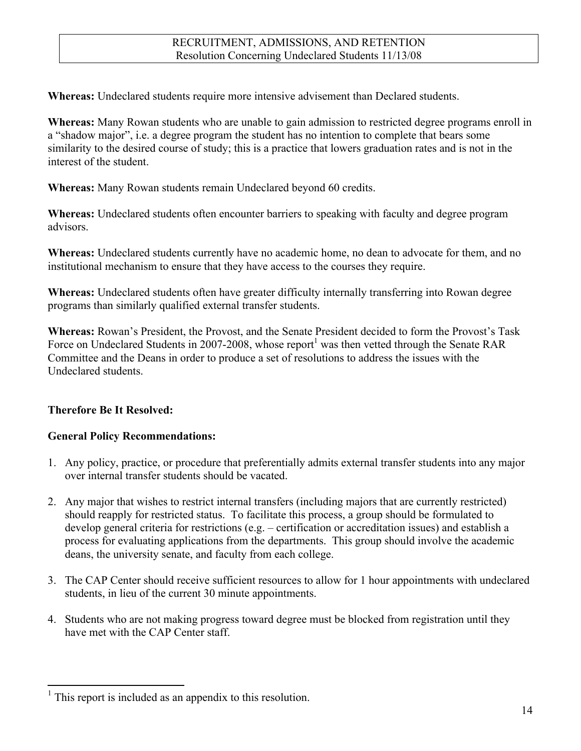**Whereas:** Undeclared students require more intensive advisement than Declared students.

**Whereas:** Many Rowan students who are unable to gain admission to restricted degree programs enroll in a "shadow major", i.e. a degree program the student has no intention to complete that bears some similarity to the desired course of study; this is a practice that lowers graduation rates and is not in the interest of the student.

**Whereas:** Many Rowan students remain Undeclared beyond 60 credits.

**Whereas:** Undeclared students often encounter barriers to speaking with faculty and degree program advisors.

**Whereas:** Undeclared students currently have no academic home, no dean to advocate for them, and no institutional mechanism to ensure that they have access to the courses they require.

**Whereas:** Undeclared students often have greater difficulty internally transferring into Rowan degree programs than similarly qualified external transfer students.

**Whereas:** Rowan's President, the Provost, and the Senate President decided to form the Provost's Task Force on Undeclared Students in 2007-2008, whose report<sup>1</sup> was then vetted through the Senate RAR Committee and the Deans in order to produce a set of resolutions to address the issues with the Undeclared students.

# **Therefore Be It Resolved:**

# **General Policy Recommendations:**

- 1. Any policy, practice, or procedure that preferentially admits external transfer students into any major over internal transfer students should be vacated.
- 2. Any major that wishes to restrict internal transfers (including majors that are currently restricted) should reapply for restricted status. To facilitate this process, a group should be formulated to develop general criteria for restrictions (e.g. – certification or accreditation issues) and establish a process for evaluating applications from the departments. This group should involve the academic deans, the university senate, and faculty from each college.
- 3. The CAP Center should receive sufficient resources to allow for 1 hour appointments with undeclared students, in lieu of the current 30 minute appointments.
- 4. Students who are not making progress toward degree must be blocked from registration until they have met with the CAP Center staff.

<sup>&</sup>lt;sup>1</sup> This report is included as an appendix to this resolution.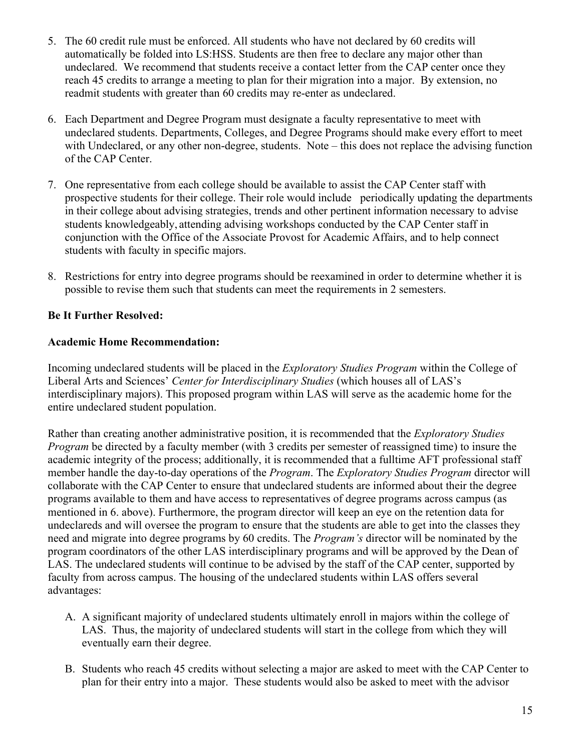- 5. The 60 credit rule must be enforced. All students who have not declared by 60 credits will automatically be folded into LS:HSS. Students are then free to declare any major other than undeclared. We recommend that students receive a contact letter from the CAP center once they reach 45 credits to arrange a meeting to plan for their migration into a major. By extension, no readmit students with greater than 60 credits may re-enter as undeclared.
- 6. Each Department and Degree Program must designate a faculty representative to meet with undeclared students. Departments, Colleges, and Degree Programs should make every effort to meet with Undeclared, or any other non-degree, students. Note – this does not replace the advising function of the CAP Center.
- 7. One representative from each college should be available to assist the CAP Center staff with prospective students for their college. Their role would include periodically updating the departments in their college about advising strategies, trends and other pertinent information necessary to advise students knowledgeably, attending advising workshops conducted by the CAP Center staff in conjunction with the Office of the Associate Provost for Academic Affairs, and to help connect students with faculty in specific majors.
- 8. Restrictions for entry into degree programs should be reexamined in order to determine whether it is possible to revise them such that students can meet the requirements in 2 semesters.

# **Be It Further Resolved:**

## **Academic Home Recommendation:**

Incoming undeclared students will be placed in the *Exploratory Studies Program* within the College of Liberal Arts and Sciences' *Center for Interdisciplinary Studies* (which houses all of LAS's interdisciplinary majors). This proposed program within LAS will serve as the academic home for the entire undeclared student population.

Rather than creating another administrative position, it is recommended that the *Exploratory Studies Program* be directed by a faculty member (with 3 credits per semester of reassigned time) to insure the academic integrity of the process; additionally, it is recommended that a fulltime AFT professional staff member handle the day-to-day operations of the *Program*. The *Exploratory Studies Program* director will collaborate with the CAP Center to ensure that undeclared students are informed about their the degree programs available to them and have access to representatives of degree programs across campus (as mentioned in 6. above). Furthermore, the program director will keep an eye on the retention data for undeclareds and will oversee the program to ensure that the students are able to get into the classes they need and migrate into degree programs by 60 credits. The *Program's* director will be nominated by the program coordinators of the other LAS interdisciplinary programs and will be approved by the Dean of LAS. The undeclared students will continue to be advised by the staff of the CAP center, supported by faculty from across campus. The housing of the undeclared students within LAS offers several advantages:

- A. A significant majority of undeclared students ultimately enroll in majors within the college of LAS. Thus, the majority of undeclared students will start in the college from which they will eventually earn their degree.
- B. Students who reach 45 credits without selecting a major are asked to meet with the CAP Center to plan for their entry into a major. These students would also be asked to meet with the advisor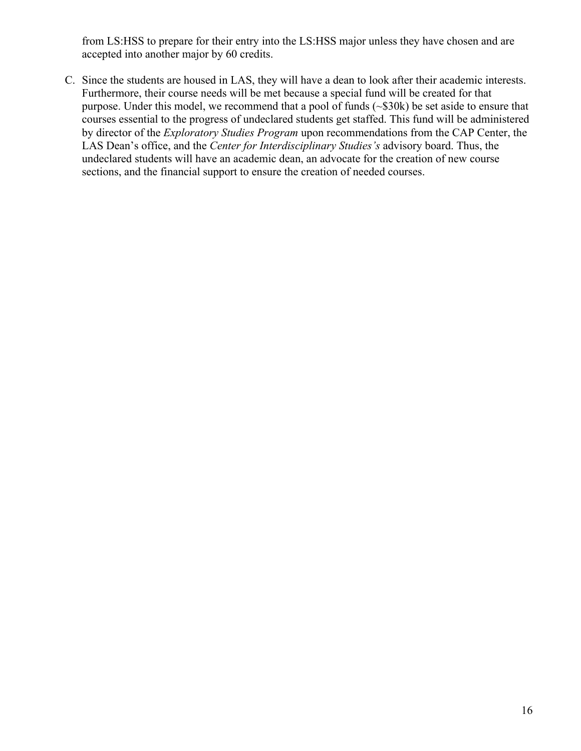from LS:HSS to prepare for their entry into the LS:HSS major unless they have chosen and are accepted into another major by 60 credits.

C. Since the students are housed in LAS, they will have a dean to look after their academic interests. Furthermore, their course needs will be met because a special fund will be created for that purpose. Under this model, we recommend that a pool of funds (~\$30k) be set aside to ensure that courses essential to the progress of undeclared students get staffed. This fund will be administered by director of the *Exploratory Studies Program* upon recommendations from the CAP Center, the LAS Dean's office, and the *Center for Interdisciplinary Studies's* advisory board. Thus, the undeclared students will have an academic dean, an advocate for the creation of new course sections, and the financial support to ensure the creation of needed courses.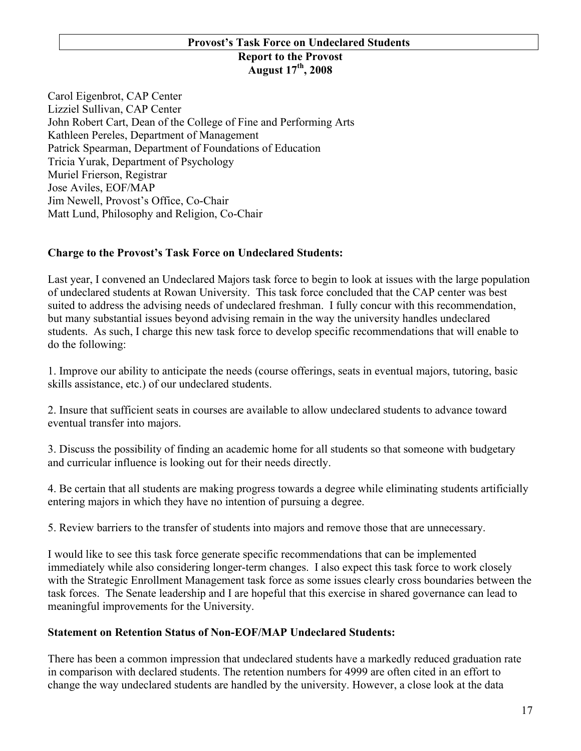# **Provost's Task Force on Undeclared Students Report to the Provost**

# **August 17th, 2008**

Carol Eigenbrot, CAP Center Lizziel Sullivan, CAP Center John Robert Cart, Dean of the College of Fine and Performing Arts Kathleen Pereles, Department of Management Patrick Spearman, Department of Foundations of Education Tricia Yurak, Department of Psychology Muriel Frierson, Registrar Jose Aviles, EOF/MAP Jim Newell, Provost's Office, Co-Chair Matt Lund, Philosophy and Religion, Co-Chair

## **Charge to the Provost's Task Force on Undeclared Students:**

Last year, I convened an Undeclared Majors task force to begin to look at issues with the large population of undeclared students at Rowan University. This task force concluded that the CAP center was best suited to address the advising needs of undeclared freshman. I fully concur with this recommendation, but many substantial issues beyond advising remain in the way the university handles undeclared students. As such, I charge this new task force to develop specific recommendations that will enable to do the following:

1. Improve our ability to anticipate the needs (course offerings, seats in eventual majors, tutoring, basic skills assistance, etc.) of our undeclared students.

2. Insure that sufficient seats in courses are available to allow undeclared students to advance toward eventual transfer into majors.

3. Discuss the possibility of finding an academic home for all students so that someone with budgetary and curricular influence is looking out for their needs directly.

4. Be certain that all students are making progress towards a degree while eliminating students artificially entering majors in which they have no intention of pursuing a degree.

5. Review barriers to the transfer of students into majors and remove those that are unnecessary.

I would like to see this task force generate specific recommendations that can be implemented immediately while also considering longer-term changes. I also expect this task force to work closely with the Strategic Enrollment Management task force as some issues clearly cross boundaries between the task forces. The Senate leadership and I are hopeful that this exercise in shared governance can lead to meaningful improvements for the University.

## **Statement on Retention Status of Non-EOF/MAP Undeclared Students:**

There has been a common impression that undeclared students have a markedly reduced graduation rate in comparison with declared students. The retention numbers for 4999 are often cited in an effort to change the way undeclared students are handled by the university. However, a close look at the data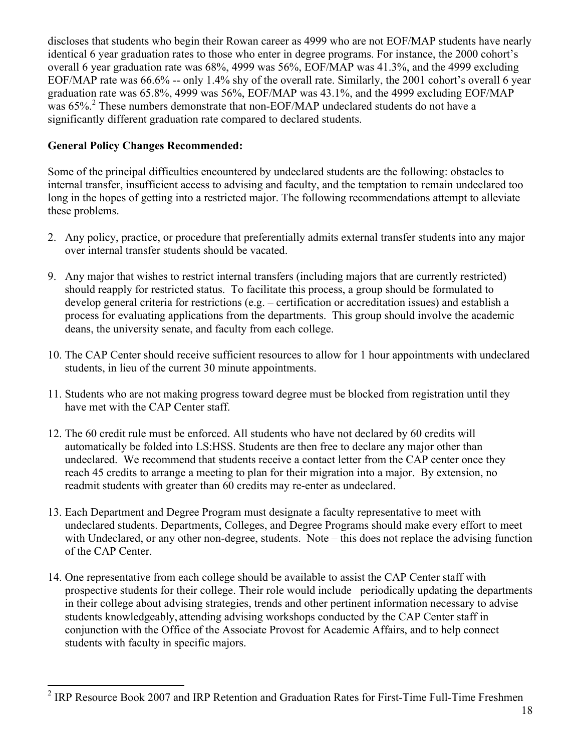discloses that students who begin their Rowan career as 4999 who are not EOF/MAP students have nearly identical 6 year graduation rates to those who enter in degree programs. For instance, the 2000 cohort's overall 6 year graduation rate was 68%, 4999 was 56%, EOF/MAP was 41.3%, and the 4999 excluding EOF/MAP rate was 66.6% -- only 1.4% shy of the overall rate. Similarly, the 2001 cohort's overall 6 year graduation rate was 65.8%, 4999 was 56%, EOF/MAP was 43.1%, and the 4999 excluding EOF/MAP was 65%.<sup>2</sup> These numbers demonstrate that non-EOF/MAP undeclared students do not have a significantly different graduation rate compared to declared students.

# **General Policy Changes Recommended:**

Some of the principal difficulties encountered by undeclared students are the following: obstacles to internal transfer, insufficient access to advising and faculty, and the temptation to remain undeclared too long in the hopes of getting into a restricted major. The following recommendations attempt to alleviate these problems.

- 2. Any policy, practice, or procedure that preferentially admits external transfer students into any major over internal transfer students should be vacated.
- 9. Any major that wishes to restrict internal transfers (including majors that are currently restricted) should reapply for restricted status. To facilitate this process, a group should be formulated to develop general criteria for restrictions (e.g. – certification or accreditation issues) and establish a process for evaluating applications from the departments. This group should involve the academic deans, the university senate, and faculty from each college.
- 10. The CAP Center should receive sufficient resources to allow for 1 hour appointments with undeclared students, in lieu of the current 30 minute appointments.
- 11. Students who are not making progress toward degree must be blocked from registration until they have met with the CAP Center staff.
- 12. The 60 credit rule must be enforced. All students who have not declared by 60 credits will automatically be folded into LS:HSS. Students are then free to declare any major other than undeclared. We recommend that students receive a contact letter from the CAP center once they reach 45 credits to arrange a meeting to plan for their migration into a major. By extension, no readmit students with greater than 60 credits may re-enter as undeclared.
- 13. Each Department and Degree Program must designate a faculty representative to meet with undeclared students. Departments, Colleges, and Degree Programs should make every effort to meet with Undeclared, or any other non-degree, students. Note – this does not replace the advising function of the CAP Center.
- 14. One representative from each college should be available to assist the CAP Center staff with prospective students for their college. Their role would include periodically updating the departments in their college about advising strategies, trends and other pertinent information necessary to advise students knowledgeably, attending advising workshops conducted by the CAP Center staff in conjunction with the Office of the Associate Provost for Academic Affairs, and to help connect students with faculty in specific majors.

<sup>&</sup>lt;sup>2</sup> IRP Resource Book 2007 and IRP Retention and Graduation Rates for First-Time Full-Time Freshmen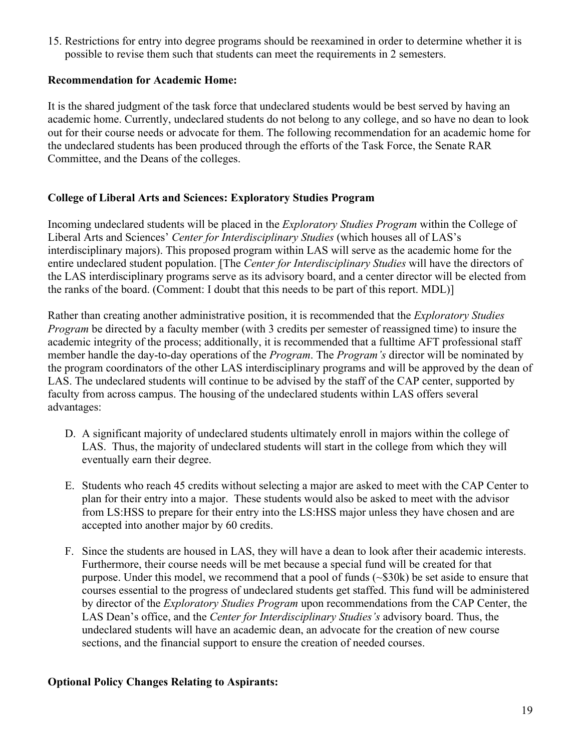15. Restrictions for entry into degree programs should be reexamined in order to determine whether it is possible to revise them such that students can meet the requirements in 2 semesters.

# **Recommendation for Academic Home:**

It is the shared judgment of the task force that undeclared students would be best served by having an academic home. Currently, undeclared students do not belong to any college, and so have no dean to look out for their course needs or advocate for them. The following recommendation for an academic home for the undeclared students has been produced through the efforts of the Task Force, the Senate RAR Committee, and the Deans of the colleges.

# **College of Liberal Arts and Sciences: Exploratory Studies Program**

Incoming undeclared students will be placed in the *Exploratory Studies Program* within the College of Liberal Arts and Sciences' *Center for Interdisciplinary Studies* (which houses all of LAS's interdisciplinary majors). This proposed program within LAS will serve as the academic home for the entire undeclared student population. [The *Center for Interdisciplinary Studies* will have the directors of the LAS interdisciplinary programs serve as its advisory board, and a center director will be elected from the ranks of the board. (Comment: I doubt that this needs to be part of this report. MDL)]

Rather than creating another administrative position, it is recommended that the *Exploratory Studies Program* be directed by a faculty member (with 3 credits per semester of reassigned time) to insure the academic integrity of the process; additionally, it is recommended that a fulltime AFT professional staff member handle the day-to-day operations of the *Program*. The *Program's* director will be nominated by the program coordinators of the other LAS interdisciplinary programs and will be approved by the dean of LAS. The undeclared students will continue to be advised by the staff of the CAP center, supported by faculty from across campus. The housing of the undeclared students within LAS offers several advantages:

- D. A significant majority of undeclared students ultimately enroll in majors within the college of LAS. Thus, the majority of undeclared students will start in the college from which they will eventually earn their degree.
- E. Students who reach 45 credits without selecting a major are asked to meet with the CAP Center to plan for their entry into a major. These students would also be asked to meet with the advisor from LS:HSS to prepare for their entry into the LS:HSS major unless they have chosen and are accepted into another major by 60 credits.
- F. Since the students are housed in LAS, they will have a dean to look after their academic interests. Furthermore, their course needs will be met because a special fund will be created for that purpose. Under this model, we recommend that a pool of funds  $(\sim 30k)$  be set aside to ensure that courses essential to the progress of undeclared students get staffed. This fund will be administered by director of the *Exploratory Studies Program* upon recommendations from the CAP Center, the LAS Dean's office, and the *Center for Interdisciplinary Studies's* advisory board. Thus, the undeclared students will have an academic dean, an advocate for the creation of new course sections, and the financial support to ensure the creation of needed courses.

## **Optional Policy Changes Relating to Aspirants:**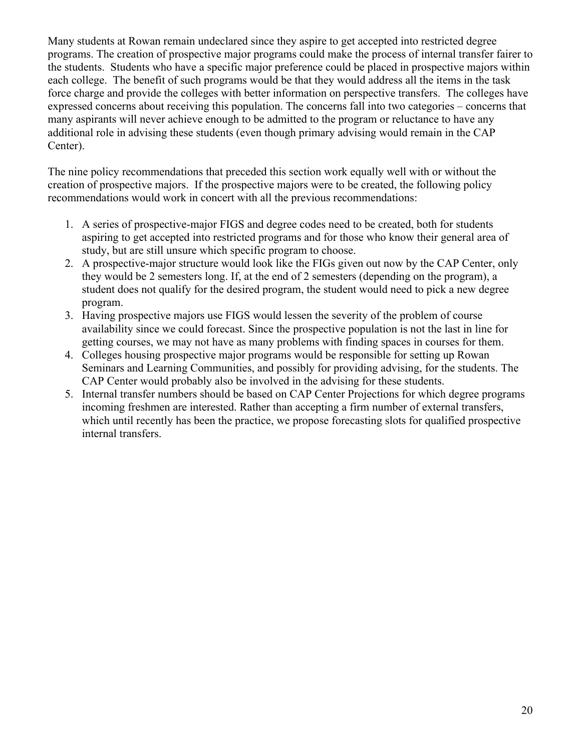Many students at Rowan remain undeclared since they aspire to get accepted into restricted degree programs. The creation of prospective major programs could make the process of internal transfer fairer to the students. Students who have a specific major preference could be placed in prospective majors within each college. The benefit of such programs would be that they would address all the items in the task force charge and provide the colleges with better information on perspective transfers. The colleges have expressed concerns about receiving this population. The concerns fall into two categories – concerns that many aspirants will never achieve enough to be admitted to the program or reluctance to have any additional role in advising these students (even though primary advising would remain in the CAP Center).

The nine policy recommendations that preceded this section work equally well with or without the creation of prospective majors. If the prospective majors were to be created, the following policy recommendations would work in concert with all the previous recommendations:

- 1. A series of prospective-major FIGS and degree codes need to be created, both for students aspiring to get accepted into restricted programs and for those who know their general area of study, but are still unsure which specific program to choose.
- 2. A prospective-major structure would look like the FIGs given out now by the CAP Center, only they would be 2 semesters long. If, at the end of 2 semesters (depending on the program), a student does not qualify for the desired program, the student would need to pick a new degree program.
- 3. Having prospective majors use FIGS would lessen the severity of the problem of course availability since we could forecast. Since the prospective population is not the last in line for getting courses, we may not have as many problems with finding spaces in courses for them.
- 4. Colleges housing prospective major programs would be responsible for setting up Rowan Seminars and Learning Communities, and possibly for providing advising, for the students. The CAP Center would probably also be involved in the advising for these students.
- 5. Internal transfer numbers should be based on CAP Center Projections for which degree programs incoming freshmen are interested. Rather than accepting a firm number of external transfers, which until recently has been the practice, we propose forecasting slots for qualified prospective internal transfers.